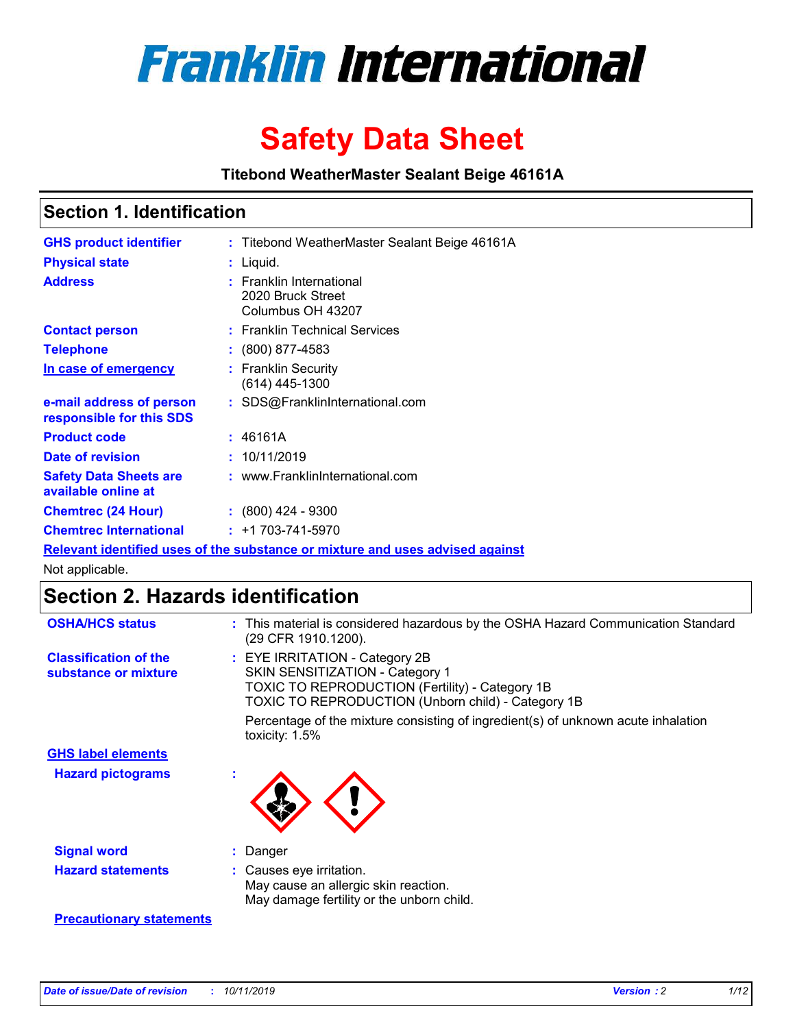

# **Safety Data Sheet**

**Titebond WeatherMaster Sealant Beige 46161A**

### **Section 1. Identification**

| <b>GHS product identifier</b>                                                 |  | : Titebond WeatherMaster Sealant Beige 46161A                      |  |  |
|-------------------------------------------------------------------------------|--|--------------------------------------------------------------------|--|--|
| <b>Physical state</b>                                                         |  | : Liquid.                                                          |  |  |
| <b>Address</b>                                                                |  | : Franklin International<br>2020 Bruck Street<br>Columbus OH 43207 |  |  |
| <b>Contact person</b>                                                         |  | : Franklin Technical Services                                      |  |  |
| <b>Telephone</b>                                                              |  | $\colon$ (800) 877-4583                                            |  |  |
| In case of emergency                                                          |  | : Franklin Security<br>(614) 445-1300                              |  |  |
| e-mail address of person<br>responsible for this SDS                          |  | : SDS@FranklinInternational.com                                    |  |  |
| <b>Product code</b>                                                           |  | : 46161A                                                           |  |  |
| Date of revision                                                              |  | : 10/11/2019                                                       |  |  |
| <b>Safety Data Sheets are</b><br>available online at                          |  | : www.FranklinInternational.com                                    |  |  |
| <b>Chemtrec (24 Hour)</b>                                                     |  | $\div$ (800) 424 - 9300                                            |  |  |
| <b>Chemtrec International</b>                                                 |  | $: +1703 - 741 - 5970$                                             |  |  |
| Relevant identified uses of the substance or mixture and uses advised against |  |                                                                    |  |  |

Not applicable.

## **Section 2. Hazards identification**

| <b>OSHA/HCS status</b>                               | : This material is considered hazardous by the OSHA Hazard Communication Standard<br>(29 CFR 1910.1200).                                                                          |
|------------------------------------------------------|-----------------------------------------------------------------------------------------------------------------------------------------------------------------------------------|
| <b>Classification of the</b><br>substance or mixture | : EYE IRRITATION - Category 2B<br>SKIN SENSITIZATION - Category 1<br><b>TOXIC TO REPRODUCTION (Fertility) - Category 1B</b><br>TOXIC TO REPRODUCTION (Unborn child) - Category 1B |
|                                                      | Percentage of the mixture consisting of ingredient(s) of unknown acute inhalation<br>toxicity: $1.5\%$                                                                            |
| <b>GHS label elements</b>                            |                                                                                                                                                                                   |
| <b>Hazard pictograms</b>                             |                                                                                                                                                                                   |
| <b>Signal word</b>                                   | : Danger                                                                                                                                                                          |
| <b>Hazard statements</b>                             | : Causes eye irritation.<br>May cause an allergic skin reaction.<br>May damage fertility or the unborn child.                                                                     |
| <b>Precautionary statements</b>                      |                                                                                                                                                                                   |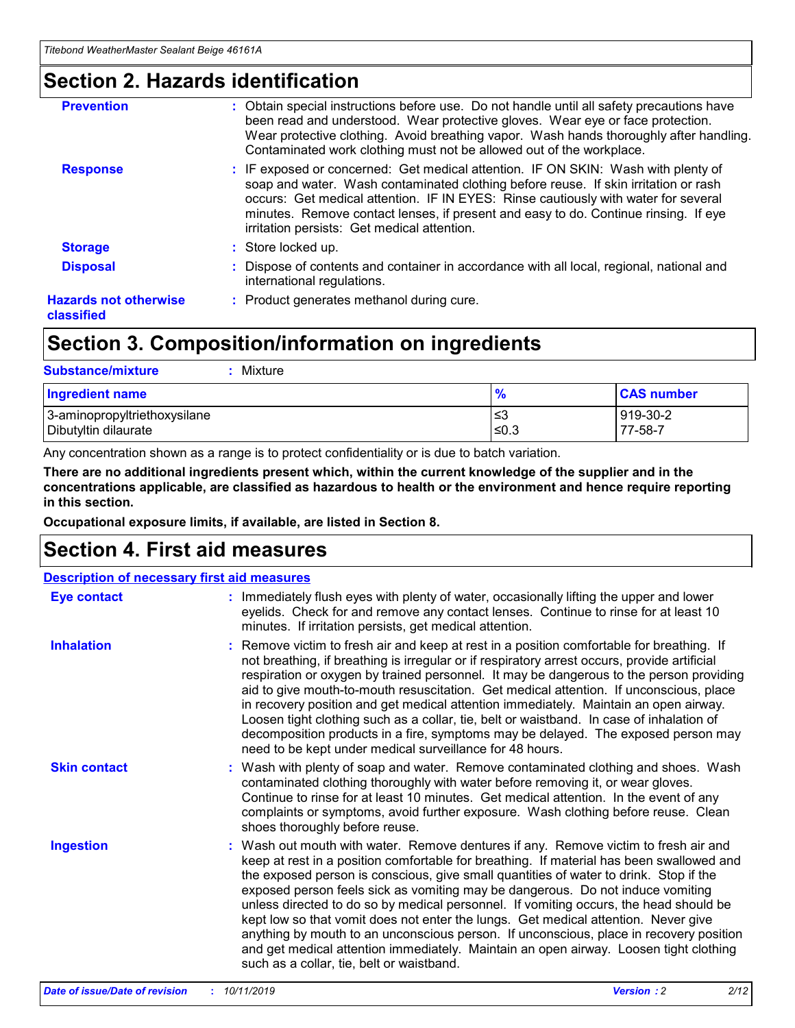### **Section 2. Hazards identification**

| <b>Prevention</b>                          | : Obtain special instructions before use. Do not handle until all safety precautions have<br>been read and understood. Wear protective gloves. Wear eye or face protection.<br>Wear protective clothing. Avoid breathing vapor. Wash hands thoroughly after handling.<br>Contaminated work clothing must not be allowed out of the workplace.                                                        |
|--------------------------------------------|------------------------------------------------------------------------------------------------------------------------------------------------------------------------------------------------------------------------------------------------------------------------------------------------------------------------------------------------------------------------------------------------------|
| <b>Response</b>                            | : IF exposed or concerned: Get medical attention. IF ON SKIN: Wash with plenty of<br>soap and water. Wash contaminated clothing before reuse. If skin irritation or rash<br>occurs: Get medical attention. IF IN EYES: Rinse cautiously with water for several<br>minutes. Remove contact lenses, if present and easy to do. Continue rinsing. If eye<br>irritation persists: Get medical attention. |
| <b>Storage</b>                             | : Store locked up.                                                                                                                                                                                                                                                                                                                                                                                   |
| <b>Disposal</b>                            | : Dispose of contents and container in accordance with all local, regional, national and<br>international regulations.                                                                                                                                                                                                                                                                               |
| <b>Hazards not otherwise</b><br>classified | : Product generates methanol during cure.                                                                                                                                                                                                                                                                                                                                                            |
|                                            |                                                                                                                                                                                                                                                                                                                                                                                                      |

### **Section 3. Composition/information on ingredients**

| <b>Substance/mixture</b><br>Mixture                  |               |                     |
|------------------------------------------------------|---------------|---------------------|
| <b>Ingredient name</b>                               | $\frac{9}{6}$ | <b>CAS number</b>   |
| 3-aminopropyltriethoxysilane<br>Dibutyltin dilaurate | ≤3<br>$≤0.3$  | 919-30-2<br>77-58-7 |

Any concentration shown as a range is to protect confidentiality or is due to batch variation.

**There are no additional ingredients present which, within the current knowledge of the supplier and in the concentrations applicable, are classified as hazardous to health or the environment and hence require reporting in this section.**

**Occupational exposure limits, if available, are listed in Section 8.**

### **Section 4. First aid measures**

|                     | <b>Description of necessary first aid measures</b>                                                                                                                                                                                                                                                                                                                                                                                                                                                                                                                                                                                                                                                                                                                        |  |  |  |  |
|---------------------|---------------------------------------------------------------------------------------------------------------------------------------------------------------------------------------------------------------------------------------------------------------------------------------------------------------------------------------------------------------------------------------------------------------------------------------------------------------------------------------------------------------------------------------------------------------------------------------------------------------------------------------------------------------------------------------------------------------------------------------------------------------------------|--|--|--|--|
| <b>Eye contact</b>  | : Immediately flush eyes with plenty of water, occasionally lifting the upper and lower<br>eyelids. Check for and remove any contact lenses. Continue to rinse for at least 10<br>minutes. If irritation persists, get medical attention.                                                                                                                                                                                                                                                                                                                                                                                                                                                                                                                                 |  |  |  |  |
| <b>Inhalation</b>   | : Remove victim to fresh air and keep at rest in a position comfortable for breathing. If<br>not breathing, if breathing is irregular or if respiratory arrest occurs, provide artificial<br>respiration or oxygen by trained personnel. It may be dangerous to the person providing<br>aid to give mouth-to-mouth resuscitation. Get medical attention. If unconscious, place<br>in recovery position and get medical attention immediately. Maintain an open airway.<br>Loosen tight clothing such as a collar, tie, belt or waistband. In case of inhalation of<br>decomposition products in a fire, symptoms may be delayed. The exposed person may<br>need to be kept under medical surveillance for 48 hours.                                                       |  |  |  |  |
| <b>Skin contact</b> | : Wash with plenty of soap and water. Remove contaminated clothing and shoes. Wash<br>contaminated clothing thoroughly with water before removing it, or wear gloves.<br>Continue to rinse for at least 10 minutes. Get medical attention. In the event of any<br>complaints or symptoms, avoid further exposure. Wash clothing before reuse. Clean<br>shoes thoroughly before reuse.                                                                                                                                                                                                                                                                                                                                                                                     |  |  |  |  |
| <b>Ingestion</b>    | : Wash out mouth with water. Remove dentures if any. Remove victim to fresh air and<br>keep at rest in a position comfortable for breathing. If material has been swallowed and<br>the exposed person is conscious, give small quantities of water to drink. Stop if the<br>exposed person feels sick as vomiting may be dangerous. Do not induce vomiting<br>unless directed to do so by medical personnel. If vomiting occurs, the head should be<br>kept low so that vomit does not enter the lungs. Get medical attention. Never give<br>anything by mouth to an unconscious person. If unconscious, place in recovery position<br>and get medical attention immediately. Maintain an open airway. Loosen tight clothing<br>such as a collar, tie, belt or waistband. |  |  |  |  |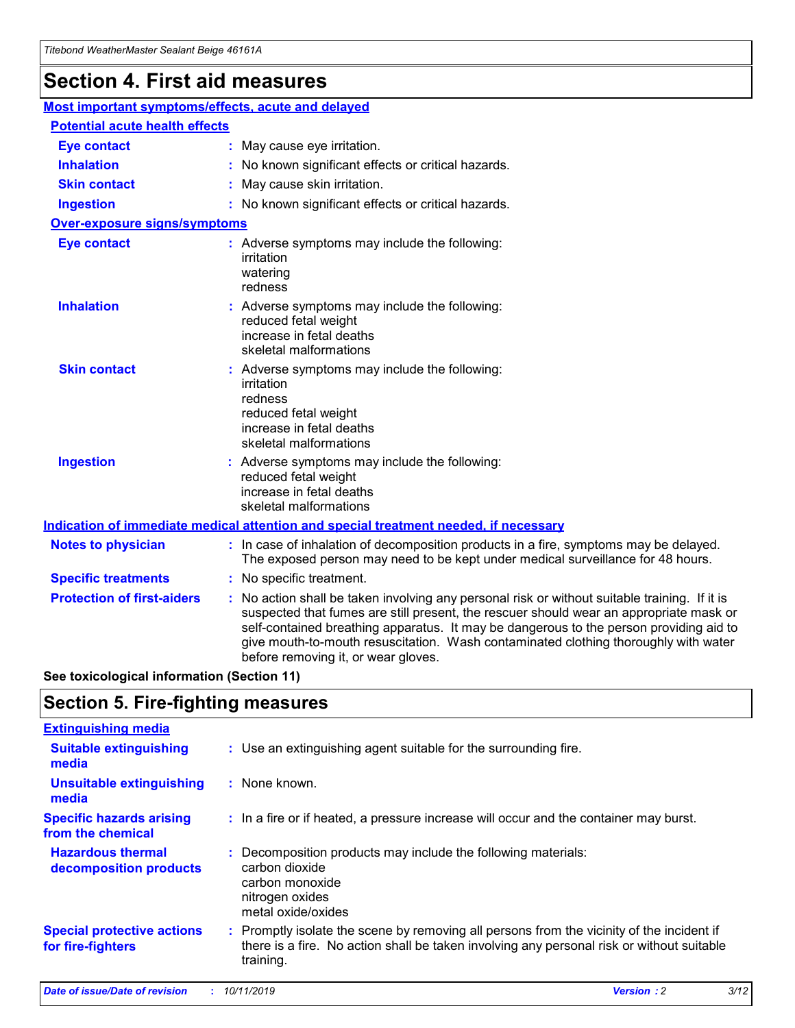## **Section 4. First aid measures**

| Most important symptoms/effects, acute and delayed                                          |  |                                                                                                                                                                                                                                                                                                                                                                                                                 |  |  |
|---------------------------------------------------------------------------------------------|--|-----------------------------------------------------------------------------------------------------------------------------------------------------------------------------------------------------------------------------------------------------------------------------------------------------------------------------------------------------------------------------------------------------------------|--|--|
| <b>Potential acute health effects</b>                                                       |  |                                                                                                                                                                                                                                                                                                                                                                                                                 |  |  |
| <b>Eye contact</b>                                                                          |  | : May cause eye irritation.                                                                                                                                                                                                                                                                                                                                                                                     |  |  |
| <b>Inhalation</b>                                                                           |  | : No known significant effects or critical hazards.                                                                                                                                                                                                                                                                                                                                                             |  |  |
| <b>Skin contact</b>                                                                         |  | : May cause skin irritation.                                                                                                                                                                                                                                                                                                                                                                                    |  |  |
| <b>Ingestion</b>                                                                            |  | : No known significant effects or critical hazards.                                                                                                                                                                                                                                                                                                                                                             |  |  |
| Over-exposure signs/symptoms                                                                |  |                                                                                                                                                                                                                                                                                                                                                                                                                 |  |  |
| <b>Eye contact</b>                                                                          |  | : Adverse symptoms may include the following:<br>irritation<br>watering<br>redness                                                                                                                                                                                                                                                                                                                              |  |  |
| <b>Inhalation</b>                                                                           |  | : Adverse symptoms may include the following:<br>reduced fetal weight<br>increase in fetal deaths<br>skeletal malformations                                                                                                                                                                                                                                                                                     |  |  |
| <b>Skin contact</b>                                                                         |  | : Adverse symptoms may include the following:<br>irritation<br>redness<br>reduced fetal weight<br>increase in fetal deaths<br>skeletal malformations                                                                                                                                                                                                                                                            |  |  |
| <b>Ingestion</b>                                                                            |  | : Adverse symptoms may include the following:<br>reduced fetal weight<br>increase in fetal deaths<br>skeletal malformations                                                                                                                                                                                                                                                                                     |  |  |
| <b>Indication of immediate medical attention and special treatment needed, if necessary</b> |  |                                                                                                                                                                                                                                                                                                                                                                                                                 |  |  |
| <b>Notes to physician</b>                                                                   |  | : In case of inhalation of decomposition products in a fire, symptoms may be delayed.<br>The exposed person may need to be kept under medical surveillance for 48 hours.                                                                                                                                                                                                                                        |  |  |
| <b>Specific treatments</b>                                                                  |  | : No specific treatment.                                                                                                                                                                                                                                                                                                                                                                                        |  |  |
| <b>Protection of first-aiders</b>                                                           |  | : No action shall be taken involving any personal risk or without suitable training. If it is<br>suspected that fumes are still present, the rescuer should wear an appropriate mask or<br>self-contained breathing apparatus. It may be dangerous to the person providing aid to<br>give mouth-to-mouth resuscitation. Wash contaminated clothing thoroughly with water<br>before removing it, or wear gloves. |  |  |

**See toxicological information (Section 11)**

### **Section 5. Fire-fighting measures**

| <b>Extinguishing media</b>                             |                                                                                                                                                                                                     |
|--------------------------------------------------------|-----------------------------------------------------------------------------------------------------------------------------------------------------------------------------------------------------|
| <b>Suitable extinguishing</b><br>media                 | : Use an extinguishing agent suitable for the surrounding fire.                                                                                                                                     |
| <b>Unsuitable extinguishing</b><br>media               | : None known.                                                                                                                                                                                       |
| <b>Specific hazards arising</b><br>from the chemical   | : In a fire or if heated, a pressure increase will occur and the container may burst.                                                                                                               |
| <b>Hazardous thermal</b><br>decomposition products     | : Decomposition products may include the following materials:<br>carbon dioxide<br>carbon monoxide<br>nitrogen oxides<br>metal oxide/oxides                                                         |
| <b>Special protective actions</b><br>for fire-fighters | : Promptly isolate the scene by removing all persons from the vicinity of the incident if<br>there is a fire. No action shall be taken involving any personal risk or without suitable<br>training. |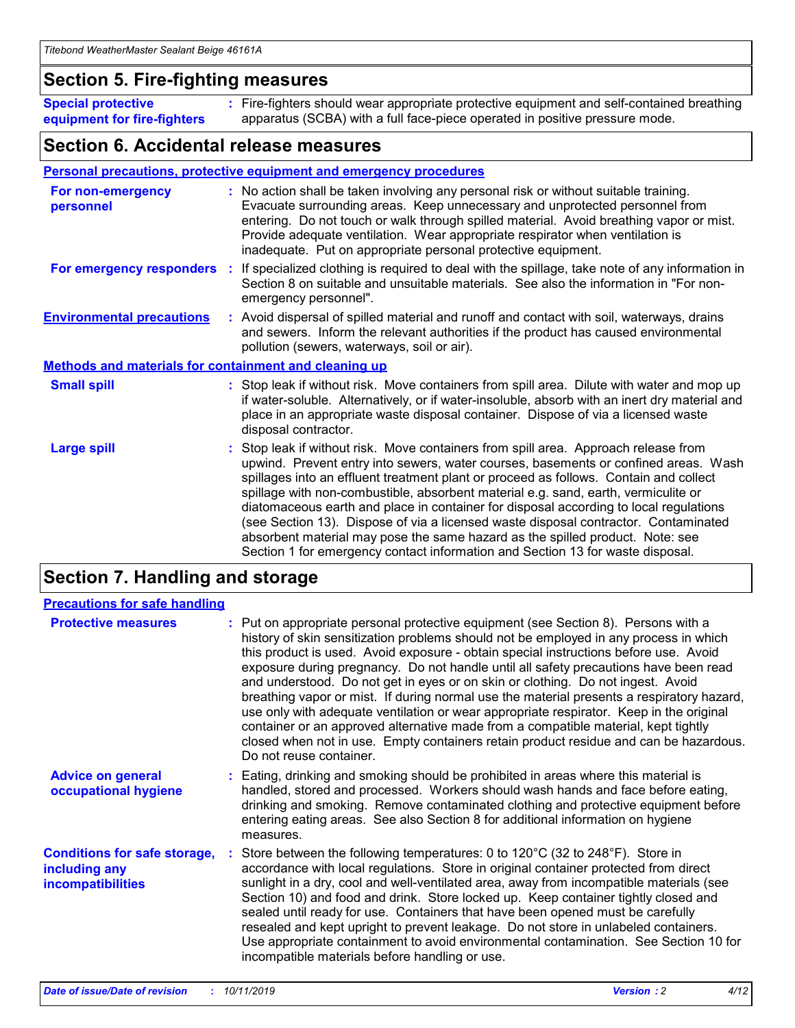### **Section 5. Fire-fighting measures**

**Special protective equipment for fire-fighters** Fire-fighters should wear appropriate protective equipment and self-contained breathing **:** apparatus (SCBA) with a full face-piece operated in positive pressure mode.

### **Section 6. Accidental release measures**

#### **Personal precautions, protective equipment and emergency procedures**

| For non-emergency<br>personnel                               | : No action shall be taken involving any personal risk or without suitable training.<br>Evacuate surrounding areas. Keep unnecessary and unprotected personnel from<br>entering. Do not touch or walk through spilled material. Avoid breathing vapor or mist.<br>Provide adequate ventilation. Wear appropriate respirator when ventilation is<br>inadequate. Put on appropriate personal protective equipment.                                                                                                                                                                                                                                                                                             |
|--------------------------------------------------------------|--------------------------------------------------------------------------------------------------------------------------------------------------------------------------------------------------------------------------------------------------------------------------------------------------------------------------------------------------------------------------------------------------------------------------------------------------------------------------------------------------------------------------------------------------------------------------------------------------------------------------------------------------------------------------------------------------------------|
|                                                              | For emergency responders : If specialized clothing is required to deal with the spillage, take note of any information in<br>Section 8 on suitable and unsuitable materials. See also the information in "For non-<br>emergency personnel".                                                                                                                                                                                                                                                                                                                                                                                                                                                                  |
| <b>Environmental precautions</b>                             | : Avoid dispersal of spilled material and runoff and contact with soil, waterways, drains<br>and sewers. Inform the relevant authorities if the product has caused environmental<br>pollution (sewers, waterways, soil or air).                                                                                                                                                                                                                                                                                                                                                                                                                                                                              |
| <b>Methods and materials for containment and cleaning up</b> |                                                                                                                                                                                                                                                                                                                                                                                                                                                                                                                                                                                                                                                                                                              |
| <b>Small spill</b>                                           | : Stop leak if without risk. Move containers from spill area. Dilute with water and mop up<br>if water-soluble. Alternatively, or if water-insoluble, absorb with an inert dry material and<br>place in an appropriate waste disposal container. Dispose of via a licensed waste<br>disposal contractor.                                                                                                                                                                                                                                                                                                                                                                                                     |
| <b>Large spill</b>                                           | : Stop leak if without risk. Move containers from spill area. Approach release from<br>upwind. Prevent entry into sewers, water courses, basements or confined areas. Wash<br>spillages into an effluent treatment plant or proceed as follows. Contain and collect<br>spillage with non-combustible, absorbent material e.g. sand, earth, vermiculite or<br>diatomaceous earth and place in container for disposal according to local regulations<br>(see Section 13). Dispose of via a licensed waste disposal contractor. Contaminated<br>absorbent material may pose the same hazard as the spilled product. Note: see<br>Section 1 for emergency contact information and Section 13 for waste disposal. |

### **Section 7. Handling and storage**

| <b>Precautions for safe handling</b>                                             |                                                                                                                                                                                                                                                                                                                                                                                                                                                                                                                                                                                                                                                                                                                                                                                                                                                  |
|----------------------------------------------------------------------------------|--------------------------------------------------------------------------------------------------------------------------------------------------------------------------------------------------------------------------------------------------------------------------------------------------------------------------------------------------------------------------------------------------------------------------------------------------------------------------------------------------------------------------------------------------------------------------------------------------------------------------------------------------------------------------------------------------------------------------------------------------------------------------------------------------------------------------------------------------|
| <b>Protective measures</b>                                                       | : Put on appropriate personal protective equipment (see Section 8). Persons with a<br>history of skin sensitization problems should not be employed in any process in which<br>this product is used. Avoid exposure - obtain special instructions before use. Avoid<br>exposure during pregnancy. Do not handle until all safety precautions have been read<br>and understood. Do not get in eyes or on skin or clothing. Do not ingest. Avoid<br>breathing vapor or mist. If during normal use the material presents a respiratory hazard,<br>use only with adequate ventilation or wear appropriate respirator. Keep in the original<br>container or an approved alternative made from a compatible material, kept tightly<br>closed when not in use. Empty containers retain product residue and can be hazardous.<br>Do not reuse container. |
| <b>Advice on general</b><br>occupational hygiene                                 | : Eating, drinking and smoking should be prohibited in areas where this material is<br>handled, stored and processed. Workers should wash hands and face before eating,<br>drinking and smoking. Remove contaminated clothing and protective equipment before<br>entering eating areas. See also Section 8 for additional information on hygiene<br>measures.                                                                                                                                                                                                                                                                                                                                                                                                                                                                                    |
| <b>Conditions for safe storage,</b><br>including any<br><b>incompatibilities</b> | : Store between the following temperatures: 0 to 120 $\degree$ C (32 to 248 $\degree$ F). Store in<br>accordance with local regulations. Store in original container protected from direct<br>sunlight in a dry, cool and well-ventilated area, away from incompatible materials (see<br>Section 10) and food and drink. Store locked up. Keep container tightly closed and<br>sealed until ready for use. Containers that have been opened must be carefully<br>resealed and kept upright to prevent leakage. Do not store in unlabeled containers.<br>Use appropriate containment to avoid environmental contamination. See Section 10 for<br>incompatible materials before handling or use.                                                                                                                                                   |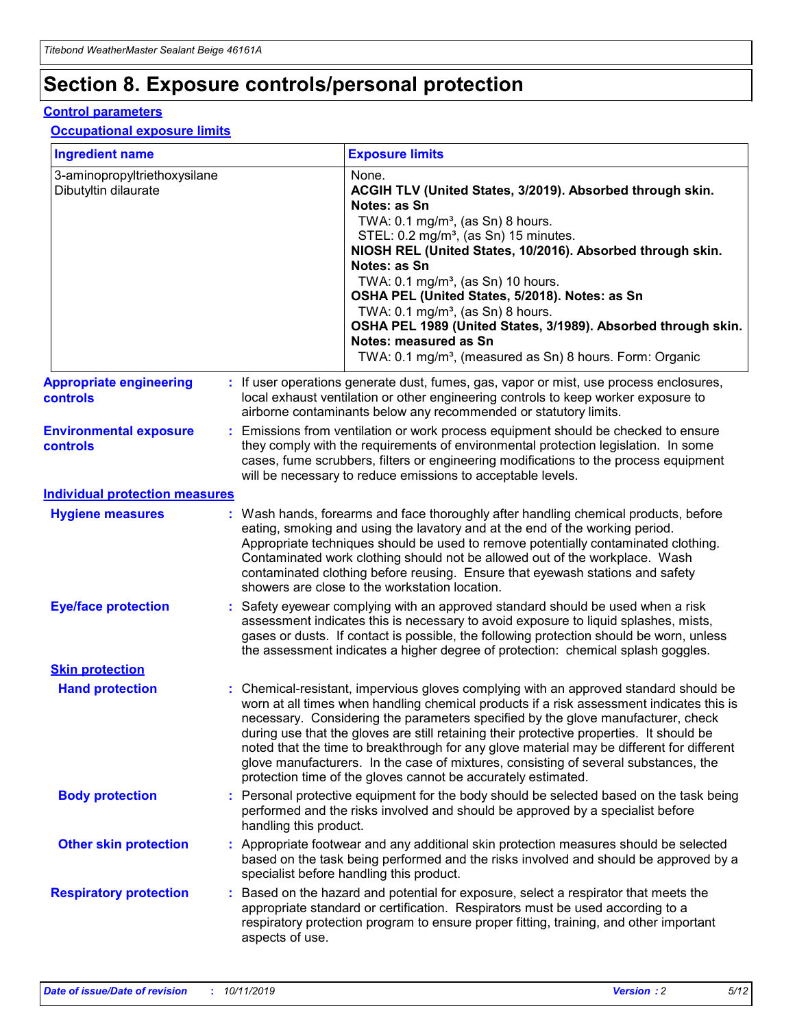## **Section 8. Exposure controls/personal protection**

#### **Control parameters**

#### **Occupational exposure limits**

| <b>Ingredient name</b>                               |    |                        | <b>Exposure limits</b>                                                                                                                                                                                                                                                                                                                                                                                                                                                                                                                                                                                                 |
|------------------------------------------------------|----|------------------------|------------------------------------------------------------------------------------------------------------------------------------------------------------------------------------------------------------------------------------------------------------------------------------------------------------------------------------------------------------------------------------------------------------------------------------------------------------------------------------------------------------------------------------------------------------------------------------------------------------------------|
| 3-aminopropyltriethoxysilane<br>Dibutyltin dilaurate |    |                        | None.<br>ACGIH TLV (United States, 3/2019). Absorbed through skin.<br>Notes: as Sn<br>TWA: $0.1 \text{ mg/m}^3$ , (as Sn) 8 hours.<br>STEL: 0.2 mg/m <sup>3</sup> , (as Sn) 15 minutes.<br>NIOSH REL (United States, 10/2016). Absorbed through skin.<br>Notes: as Sn<br>TWA: 0.1 mg/m <sup>3</sup> , (as Sn) 10 hours.<br>OSHA PEL (United States, 5/2018). Notes: as Sn<br>TWA: 0.1 mg/m <sup>3</sup> , (as Sn) 8 hours.<br>OSHA PEL 1989 (United States, 3/1989). Absorbed through skin.<br>Notes: measured as Sn<br>TWA: 0.1 mg/m <sup>3</sup> , (measured as Sn) 8 hours. Form: Organic                           |
| <b>Appropriate engineering</b><br>controls           |    |                        | : If user operations generate dust, fumes, gas, vapor or mist, use process enclosures,<br>local exhaust ventilation or other engineering controls to keep worker exposure to<br>airborne contaminants below any recommended or statutory limits.                                                                                                                                                                                                                                                                                                                                                                       |
| <b>Environmental exposure</b><br>controls            |    |                        | Emissions from ventilation or work process equipment should be checked to ensure<br>they comply with the requirements of environmental protection legislation. In some<br>cases, fume scrubbers, filters or engineering modifications to the process equipment<br>will be necessary to reduce emissions to acceptable levels.                                                                                                                                                                                                                                                                                          |
| <b>Individual protection measures</b>                |    |                        |                                                                                                                                                                                                                                                                                                                                                                                                                                                                                                                                                                                                                        |
| <b>Hygiene measures</b>                              |    |                        | : Wash hands, forearms and face thoroughly after handling chemical products, before<br>eating, smoking and using the lavatory and at the end of the working period.<br>Appropriate techniques should be used to remove potentially contaminated clothing.<br>Contaminated work clothing should not be allowed out of the workplace. Wash<br>contaminated clothing before reusing. Ensure that eyewash stations and safety<br>showers are close to the workstation location.                                                                                                                                            |
| <b>Eye/face protection</b>                           |    |                        | Safety eyewear complying with an approved standard should be used when a risk<br>assessment indicates this is necessary to avoid exposure to liquid splashes, mists,<br>gases or dusts. If contact is possible, the following protection should be worn, unless<br>the assessment indicates a higher degree of protection: chemical splash goggles.                                                                                                                                                                                                                                                                    |
| <b>Skin protection</b>                               |    |                        |                                                                                                                                                                                                                                                                                                                                                                                                                                                                                                                                                                                                                        |
| <b>Hand protection</b>                               |    |                        | : Chemical-resistant, impervious gloves complying with an approved standard should be<br>worn at all times when handling chemical products if a risk assessment indicates this is<br>necessary. Considering the parameters specified by the glove manufacturer, check<br>during use that the gloves are still retaining their protective properties. It should be<br>noted that the time to breakthrough for any glove material may be different for different<br>glove manufacturers. In the case of mixtures, consisting of several substances, the<br>protection time of the gloves cannot be accurately estimated. |
| <b>Body protection</b>                               |    | handling this product. | Personal protective equipment for the body should be selected based on the task being<br>performed and the risks involved and should be approved by a specialist before                                                                                                                                                                                                                                                                                                                                                                                                                                                |
| <b>Other skin protection</b>                         |    |                        | : Appropriate footwear and any additional skin protection measures should be selected<br>based on the task being performed and the risks involved and should be approved by a<br>specialist before handling this product.                                                                                                                                                                                                                                                                                                                                                                                              |
| <b>Respiratory protection</b>                        | ÷. | aspects of use.        | Based on the hazard and potential for exposure, select a respirator that meets the<br>appropriate standard or certification. Respirators must be used according to a<br>respiratory protection program to ensure proper fitting, training, and other important                                                                                                                                                                                                                                                                                                                                                         |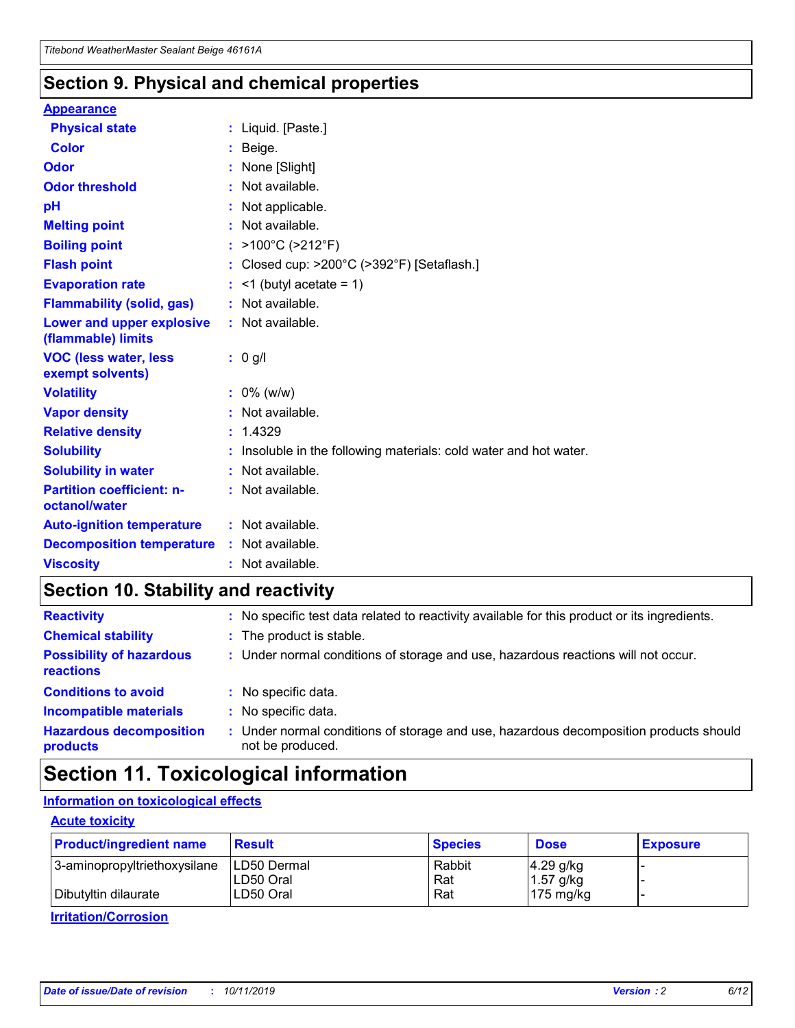### **Section 9. Physical and chemical properties**

#### **Appearance**

| <b>Physical state</b>                             | : Liquid. [Paste.]                                                |
|---------------------------------------------------|-------------------------------------------------------------------|
| Color                                             | Beige.                                                            |
| Odor                                              | None [Slight]                                                     |
| <b>Odor threshold</b>                             | : Not available.                                                  |
| рH                                                | : Not applicable.                                                 |
| <b>Melting point</b>                              | : Not available.                                                  |
| <b>Boiling point</b>                              | : $>100^{\circ}$ C ( $>212^{\circ}$ F)                            |
| <b>Flash point</b>                                | : Closed cup: $>200^{\circ}$ C ( $>392^{\circ}$ F) [Setaflash.]   |
| <b>Evaporation rate</b>                           | $:$ <1 (butyl acetate = 1)                                        |
| <b>Flammability (solid, gas)</b>                  | : Not available.                                                  |
| Lower and upper explosive<br>(flammable) limits   | : Not available.                                                  |
| <b>VOC (less water, less</b><br>exempt solvents)  | $: 0$ g/l                                                         |
| <b>Volatility</b>                                 | $: 0\%$ (w/w)                                                     |
| <b>Vapor density</b>                              | : Not available.                                                  |
| <b>Relative density</b>                           | : 1.4329                                                          |
| <b>Solubility</b>                                 | : Insoluble in the following materials: cold water and hot water. |
| <b>Solubility in water</b>                        | : Not available.                                                  |
| <b>Partition coefficient: n-</b><br>octanol/water | : Not available.                                                  |
| <b>Auto-ignition temperature</b>                  | : Not available.                                                  |
| <b>Decomposition temperature</b>                  | : Not available.                                                  |
| <b>Viscosity</b>                                  | : Not available.                                                  |

### **Section 10. Stability and reactivity**

| <b>Reactivity</b>                            |    | : No specific test data related to reactivity available for this product or its ingredients.            |
|----------------------------------------------|----|---------------------------------------------------------------------------------------------------------|
| <b>Chemical stability</b>                    |    | : The product is stable.                                                                                |
| <b>Possibility of hazardous</b><br>reactions |    | : Under normal conditions of storage and use, hazardous reactions will not occur.                       |
| <b>Conditions to avoid</b>                   |    | : No specific data.                                                                                     |
| <b>Incompatible materials</b>                |    | : No specific data.                                                                                     |
| <b>Hazardous decomposition</b><br>products   | ÷. | Under normal conditions of storage and use, hazardous decomposition products should<br>not be produced. |

### **Section 11. Toxicological information**

### **Information on toxicological effects**

#### **Acute toxicity**

| <b>Product/ingredient name</b> | <b>Result</b> | <b>Species</b> | <b>Dose</b>         | <b>Exposure</b> |
|--------------------------------|---------------|----------------|---------------------|-----------------|
| 3-aminopropyltriethoxysilane   | LD50 Dermal   | Rabbit         | $4.29$ g/kg         |                 |
|                                | ILD50 Oral    | Rat            | 1.57 g/kg           |                 |
| Dibutyltin dilaurate           | LD50 Oral     | Rat            | $175 \text{ mg/kg}$ |                 |

**Irritation/Corrosion**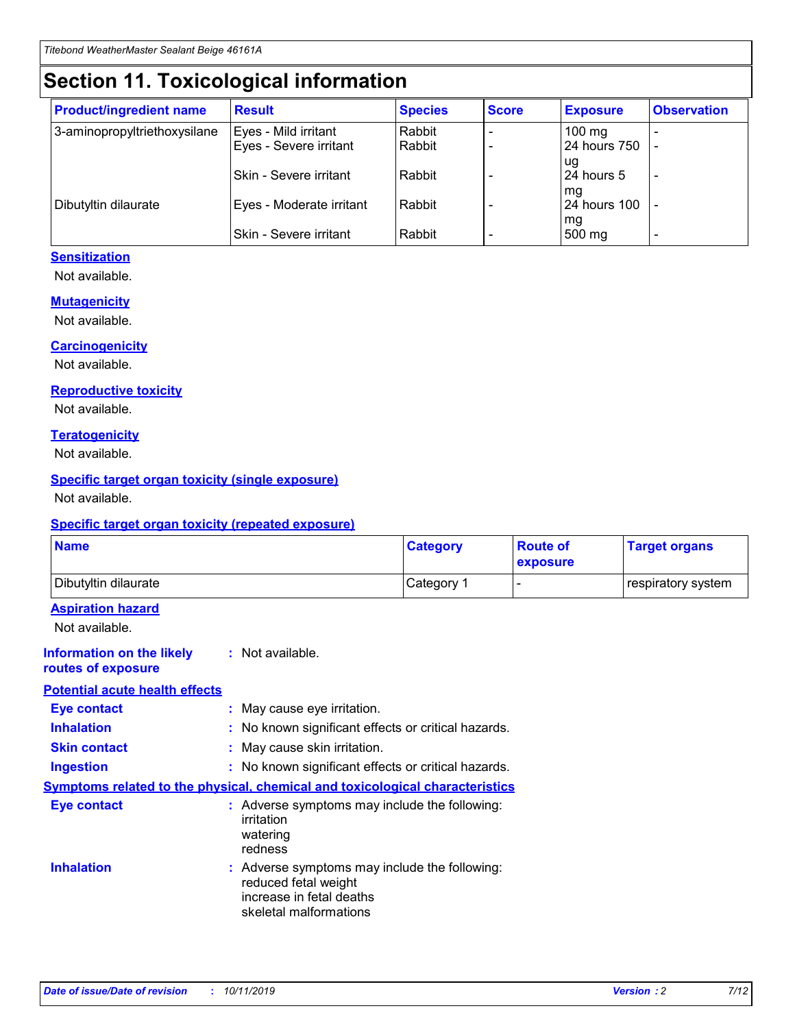## **Section 11. Toxicological information**

| <b>Product/ingredient name</b> | <b>Result</b>            | <b>Species</b> | <b>Score</b> | <b>Exposure</b>     | <b>Observation</b> |
|--------------------------------|--------------------------|----------------|--------------|---------------------|--------------------|
| 3-aminopropyltriethoxysilane   | Eyes - Mild irritant     | Rabbit         |              | $100 \text{ mg}$    |                    |
|                                | Eyes - Severe irritant   | Rabbit         |              | 24 hours 750        |                    |
|                                |                          |                |              | ug                  |                    |
|                                | Skin - Severe irritant   | Rabbit         |              | 24 hours 5          |                    |
|                                |                          |                |              | mq                  |                    |
| Dibutyltin dilaurate           | Eyes - Moderate irritant | Rabbit         |              | <b>24 hours 100</b> |                    |
|                                | Skin - Severe irritant   | Rabbit         |              | mg<br>500 mg        |                    |
|                                |                          |                |              |                     |                    |

### **Sensitization**

Not available.

#### **Mutagenicity**

Not available.

#### **Carcinogenicity**

Not available.

#### **Reproductive toxicity**

Not available.

#### **Teratogenicity**

Not available.

#### **Specific target organ toxicity (single exposure)**

Not available.

#### **Specific target organ toxicity (repeated exposure)**

| <b>Name</b>                                                                  |                                                                            | <b>Category</b>                                     | <b>Route of</b><br>exposure | <b>Target organs</b> |
|------------------------------------------------------------------------------|----------------------------------------------------------------------------|-----------------------------------------------------|-----------------------------|----------------------|
| Dibutyltin dilaurate                                                         |                                                                            | Category 1                                          | -                           | respiratory system   |
| <b>Aspiration hazard</b><br>Not available.                                   |                                                                            |                                                     |                             |                      |
| <b>Information on the likely</b><br>routes of exposure                       | : Not available.                                                           |                                                     |                             |                      |
| <b>Potential acute health effects</b>                                        |                                                                            |                                                     |                             |                      |
| <b>Eye contact</b>                                                           | : May cause eye irritation.                                                |                                                     |                             |                      |
| <b>Inhalation</b>                                                            |                                                                            | : No known significant effects or critical hazards. |                             |                      |
| <b>Skin contact</b>                                                          | : May cause skin irritation.                                               |                                                     |                             |                      |
| <b>Ingestion</b>                                                             |                                                                            | : No known significant effects or critical hazards. |                             |                      |
| Symptoms related to the physical, chemical and toxicological characteristics |                                                                            |                                                     |                             |                      |
| <b>Eye contact</b>                                                           | irritation<br>watering<br>redness                                          | : Adverse symptoms may include the following:       |                             |                      |
| <b>Inhalation</b>                                                            | reduced fetal weight<br>increase in fetal deaths<br>skeletal malformations | : Adverse symptoms may include the following:       |                             |                      |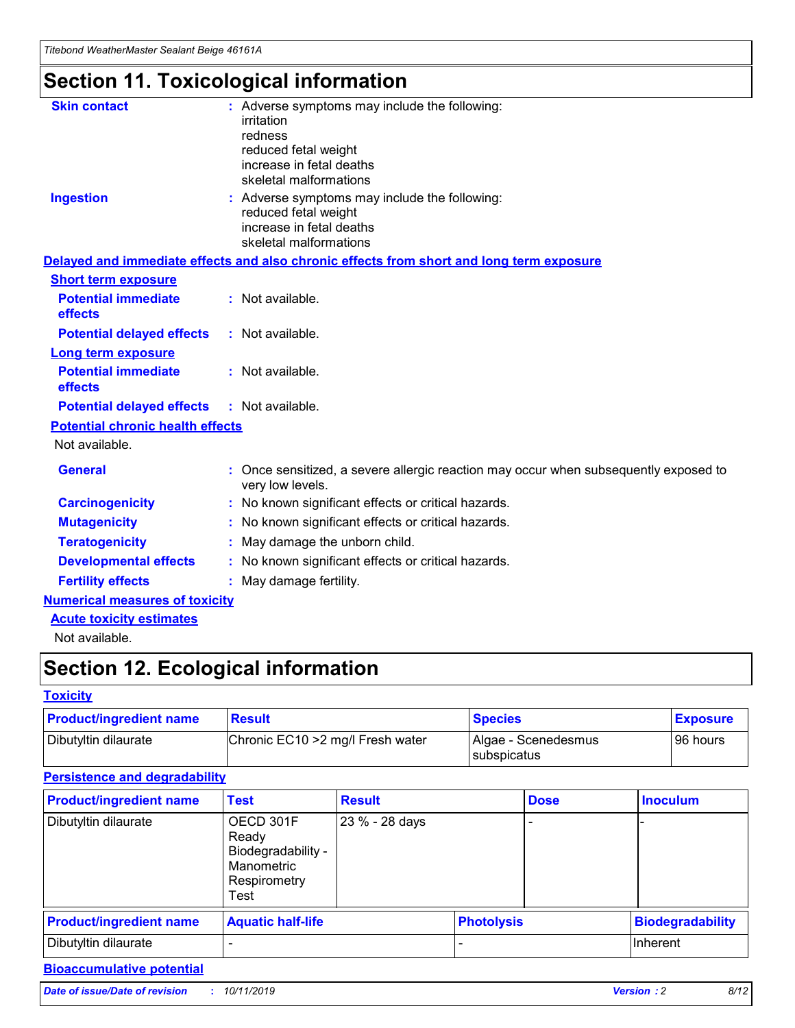## **Section 11. Toxicological information**

| <b>Skin contact</b>                     | : Adverse symptoms may include the following:                                                            |
|-----------------------------------------|----------------------------------------------------------------------------------------------------------|
|                                         | irritation                                                                                               |
|                                         | redness                                                                                                  |
|                                         | reduced fetal weight                                                                                     |
|                                         | increase in fetal deaths                                                                                 |
|                                         | skeletal malformations                                                                                   |
| <b>Ingestion</b>                        | : Adverse symptoms may include the following:                                                            |
|                                         | reduced fetal weight                                                                                     |
|                                         | increase in fetal deaths                                                                                 |
|                                         | skeletal malformations                                                                                   |
|                                         | Delayed and immediate effects and also chronic effects from short and long term exposure                 |
| <b>Short term exposure</b>              |                                                                                                          |
| <b>Potential immediate</b>              | : Not available.                                                                                         |
| effects                                 |                                                                                                          |
| <b>Potential delayed effects</b>        | : Not available.                                                                                         |
| Long term exposure                      |                                                                                                          |
| <b>Potential immediate</b>              | : Not available.                                                                                         |
| effects                                 |                                                                                                          |
| <b>Potential delayed effects</b>        | : Not available.                                                                                         |
| <b>Potential chronic health effects</b> |                                                                                                          |
| Not available.                          |                                                                                                          |
| <b>General</b>                          | : Once sensitized, a severe allergic reaction may occur when subsequently exposed to<br>very low levels. |
| <b>Carcinogenicity</b>                  | : No known significant effects or critical hazards.                                                      |
| <b>Mutagenicity</b>                     | : No known significant effects or critical hazards.                                                      |
| <b>Teratogenicity</b>                   | May damage the unborn child.                                                                             |
| <b>Developmental effects</b>            | : No known significant effects or critical hazards.                                                      |
| <b>Fertility effects</b>                | May damage fertility.                                                                                    |
| <b>Numerical measures of toxicity</b>   |                                                                                                          |
| <b>Acute toxicity estimates</b>         |                                                                                                          |
| الملحلة والمستحيط والمسالم              |                                                                                                          |

Not available.

## **Section 12. Ecological information**

#### **Toxicity**

| <b>Product/ingredient name</b> | <b>Result</b>                     | <b>Species</b>                              | <b>Exposure</b> |
|--------------------------------|-----------------------------------|---------------------------------------------|-----------------|
| Dibutyltin dilaurate           | Chronic EC10 > 2 mg/l Fresh water | Algae - Scenedesmus<br><b>I</b> subspicatus | l 96 hours      |

### **Persistence and degradability**

| <b>Product/ingredient name</b> | <b>Test</b>                                                                    | <b>Result</b>  |                   | <b>Dose</b> | <b>Inoculum</b>         |
|--------------------------------|--------------------------------------------------------------------------------|----------------|-------------------|-------------|-------------------------|
| Dibutyltin dilaurate           | OECD 301F<br>Ready<br>Biodegradability -<br>Manometric<br>Respirometry<br>Test | 23 % - 28 days |                   |             |                         |
| <b>Product/ingredient name</b> | <b>Aquatic half-life</b>                                                       |                | <b>Photolysis</b> |             | <b>Biodegradability</b> |
| Dibutyltin dilaurate           |                                                                                |                |                   |             | Inherent                |

### **Bioaccumulative potential**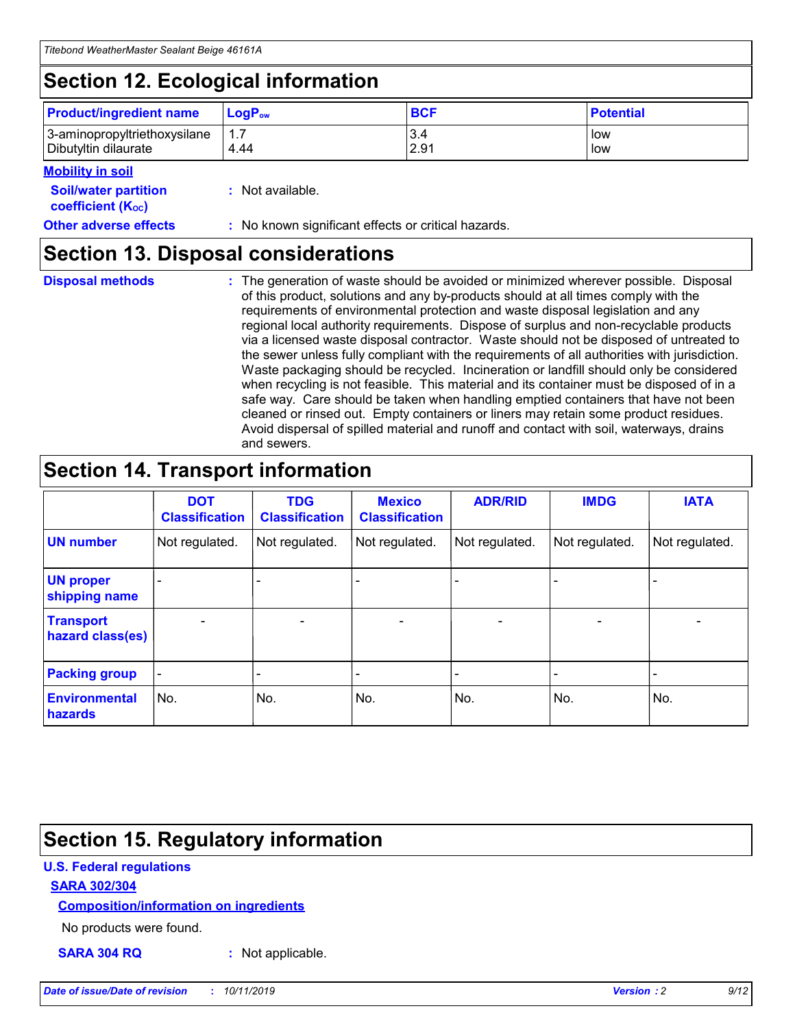## **Section 12. Ecological information**

| <b>Product/ingredient name</b> | $LoaPow$ | <b>BCF</b> | <b>Potential</b> |
|--------------------------------|----------|------------|------------------|
| 3-aminopropyltriethoxysilane   | 1.7      | 3.4        | low              |
| Dibutyltin dilaurate           | 4.44     | 2.91       | low              |

#### **Mobility in soil**

| <i></i>                                                       |                                                     |
|---------------------------------------------------------------|-----------------------------------------------------|
| <b>Soil/water partition</b><br>coefficient (K <sub>oc</sub> ) | : Not available.                                    |
| <b>Other adverse effects</b>                                  | : No known significant effects or critical hazards. |

### **Section 13. Disposal considerations**

**Disposal methods :**

The generation of waste should be avoided or minimized wherever possible. Disposal of this product, solutions and any by-products should at all times comply with the requirements of environmental protection and waste disposal legislation and any regional local authority requirements. Dispose of surplus and non-recyclable products via a licensed waste disposal contractor. Waste should not be disposed of untreated to the sewer unless fully compliant with the requirements of all authorities with jurisdiction. Waste packaging should be recycled. Incineration or landfill should only be considered when recycling is not feasible. This material and its container must be disposed of in a safe way. Care should be taken when handling emptied containers that have not been cleaned or rinsed out. Empty containers or liners may retain some product residues. Avoid dispersal of spilled material and runoff and contact with soil, waterways, drains and sewers.

## **Section 14. Transport information**

|                                      | <b>DOT</b><br><b>Classification</b> | <b>TDG</b><br><b>Classification</b> | <b>Mexico</b><br><b>Classification</b> | <b>ADR/RID</b>           | <b>IMDG</b>     | <b>IATA</b>              |
|--------------------------------------|-------------------------------------|-------------------------------------|----------------------------------------|--------------------------|-----------------|--------------------------|
| <b>UN number</b>                     | Not regulated.                      | Not regulated.                      | Not regulated.                         | Not regulated.           | Not regulated.  | Not regulated.           |
| <b>UN proper</b><br>shipping name    | $\qquad \qquad \blacksquare$        |                                     |                                        |                          |                 |                          |
| <b>Transport</b><br>hazard class(es) | $\overline{\phantom{0}}$            | $\qquad \qquad$                     | $\qquad \qquad$                        | $\overline{\phantom{a}}$ | $\qquad \qquad$ | $\overline{\phantom{0}}$ |
| <b>Packing group</b>                 | $\overline{\phantom{a}}$            | -                                   |                                        |                          |                 |                          |
| <b>Environmental</b><br>hazards      | No.                                 | No.                                 | No.                                    | No.                      | No.             | No.                      |

## **Section 15. Regulatory information**

#### **U.S. Federal regulations**

#### **SARA 302/304**

#### **Composition/information on ingredients**

No products were found.

**SARA 304 RQ :** Not applicable.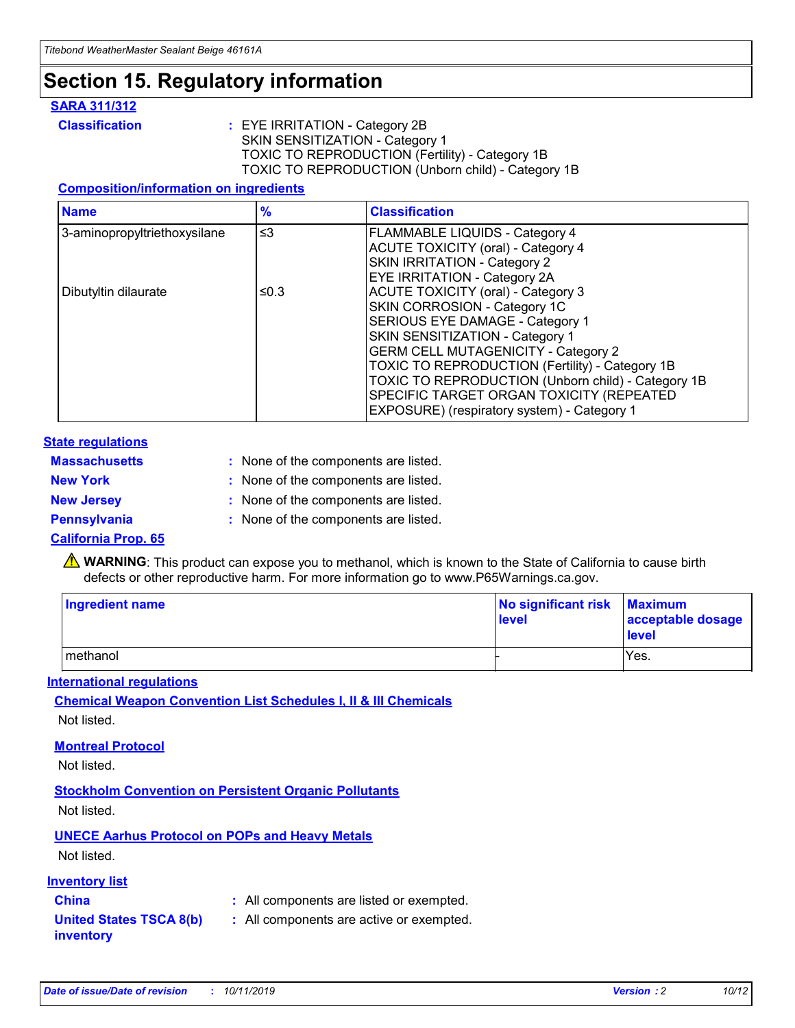## **Section 15. Regulatory information**

#### **SARA 311/312**

**Classification :** EYE IRRITATION - Category 2B SKIN SENSITIZATION - Category 1 TOXIC TO REPRODUCTION (Fertility) - Category 1B TOXIC TO REPRODUCTION (Unborn child) - Category 1B

#### **Composition/information on ingredients**

| <b>Name</b>                  | $\frac{9}{6}$ | <b>Classification</b>                                                                                            |
|------------------------------|---------------|------------------------------------------------------------------------------------------------------------------|
| 3-aminopropyltriethoxysilane | $\leq$ 3      | <b>FLAMMABLE LIQUIDS - Category 4</b><br><b>ACUTE TOXICITY (oral) - Category 4</b>                               |
|                              |               | SKIN IRRITATION - Category 2<br>EYE IRRITATION - Category 2A                                                     |
| Dibutyltin dilaurate         | ≤0.3          | ACUTE TOXICITY (oral) - Category 3<br>SKIN CORROSION - Category 1C                                               |
|                              |               | SERIOUS EYE DAMAGE - Category 1<br>SKIN SENSITIZATION - Category 1<br><b>GERM CELL MUTAGENICITY - Category 2</b> |
|                              |               | TOXIC TO REPRODUCTION (Fertility) - Category 1B<br>TOXIC TO REPRODUCTION (Unborn child) - Category 1B            |
|                              |               | SPECIFIC TARGET ORGAN TOXICITY (REPEATED<br>EXPOSURE) (respiratory system) - Category 1                          |

#### **State regulations**

| <b>Massachusetts</b> | : None of the components are listed. |
|----------------------|--------------------------------------|
| <b>New York</b>      | : None of the components are listed. |
| <b>New Jersey</b>    | : None of the components are listed. |
| <b>Pennsylvania</b>  | : None of the components are listed. |

#### **California Prop. 65**

**A** WARNING: This product can expose you to methanol, which is known to the State of California to cause birth defects or other reproductive harm. For more information go to www.P65Warnings.ca.gov.

| <b>Ingredient name</b> | No significant risk Maximum<br>level | acceptable dosage<br>level |
|------------------------|--------------------------------------|----------------------------|
| methanol               |                                      | Yes.                       |

#### **International regulations**

**Chemical Weapon Convention List Schedules I, II & III Chemicals** Not listed.

#### **Montreal Protocol**

Not listed.

#### **Stockholm Convention on Persistent Organic Pollutants**

Not listed.

### **UNECE Aarhus Protocol on POPs and Heavy Metals**

Not listed.

#### **Inventory list**

### **China :** All components are listed or exempted.

#### **United States TSCA 8(b) inventory :** All components are active or exempted.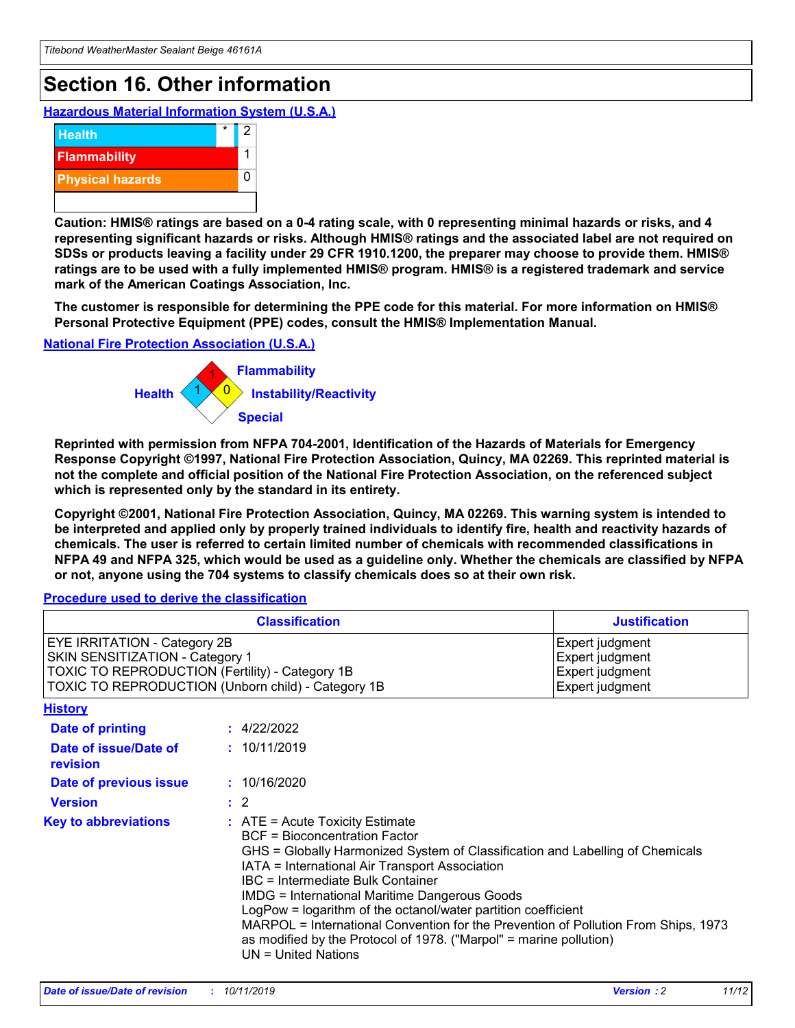## **Section 16. Other information**

**Hazardous Material Information System (U.S.A.)**



**Caution: HMIS® ratings are based on a 0-4 rating scale, with 0 representing minimal hazards or risks, and 4 representing significant hazards or risks. Although HMIS® ratings and the associated label are not required on SDSs or products leaving a facility under 29 CFR 1910.1200, the preparer may choose to provide them. HMIS® ratings are to be used with a fully implemented HMIS® program. HMIS® is a registered trademark and service mark of the American Coatings Association, Inc.**

**The customer is responsible for determining the PPE code for this material. For more information on HMIS® Personal Protective Equipment (PPE) codes, consult the HMIS® Implementation Manual.**

#### **National Fire Protection Association (U.S.A.)**



**Reprinted with permission from NFPA 704-2001, Identification of the Hazards of Materials for Emergency Response Copyright ©1997, National Fire Protection Association, Quincy, MA 02269. This reprinted material is not the complete and official position of the National Fire Protection Association, on the referenced subject which is represented only by the standard in its entirety.**

**Copyright ©2001, National Fire Protection Association, Quincy, MA 02269. This warning system is intended to be interpreted and applied only by properly trained individuals to identify fire, health and reactivity hazards of chemicals. The user is referred to certain limited number of chemicals with recommended classifications in NFPA 49 and NFPA 325, which would be used as a guideline only. Whether the chemicals are classified by NFPA or not, anyone using the 704 systems to classify chemicals does so at their own risk.**

**Procedure used to derive the classification**

| <b>Classification</b>                                                                                                                                                    |                                                                                                                                                  | <b>Justification</b>                                                                                                                                                                                                                                                                                                                                                                                                 |  |
|--------------------------------------------------------------------------------------------------------------------------------------------------------------------------|--------------------------------------------------------------------------------------------------------------------------------------------------|----------------------------------------------------------------------------------------------------------------------------------------------------------------------------------------------------------------------------------------------------------------------------------------------------------------------------------------------------------------------------------------------------------------------|--|
| EYE IRRITATION - Category 2B<br>SKIN SENSITIZATION - Category 1<br>TOXIC TO REPRODUCTION (Fertility) - Category 1B<br>TOXIC TO REPRODUCTION (Unborn child) - Category 1B |                                                                                                                                                  | Expert judgment<br>Expert judgment<br>Expert judgment<br>Expert judgment                                                                                                                                                                                                                                                                                                                                             |  |
| <b>History</b>                                                                                                                                                           |                                                                                                                                                  |                                                                                                                                                                                                                                                                                                                                                                                                                      |  |
| Date of printing                                                                                                                                                         | : 4/22/2022                                                                                                                                      |                                                                                                                                                                                                                                                                                                                                                                                                                      |  |
| Date of issue/Date of<br>revision                                                                                                                                        | : 10/11/2019                                                                                                                                     |                                                                                                                                                                                                                                                                                                                                                                                                                      |  |
| Date of previous issue                                                                                                                                                   | : 10/16/2020                                                                                                                                     |                                                                                                                                                                                                                                                                                                                                                                                                                      |  |
| <b>Version</b>                                                                                                                                                           | $\therefore$ 2                                                                                                                                   |                                                                                                                                                                                                                                                                                                                                                                                                                      |  |
| <b>Key to abbreviations</b>                                                                                                                                              | $\therefore$ ATE = Acute Toxicity Estimate<br><b>BCF</b> = Bioconcentration Factor<br>IBC = Intermediate Bulk Container<br>$UN = United Nations$ | GHS = Globally Harmonized System of Classification and Labelling of Chemicals<br>IATA = International Air Transport Association<br><b>IMDG = International Maritime Dangerous Goods</b><br>LogPow = logarithm of the octanol/water partition coefficient<br>MARPOL = International Convention for the Prevention of Pollution From Ships, 1973<br>as modified by the Protocol of 1978. ("Marpol" = marine pollution) |  |